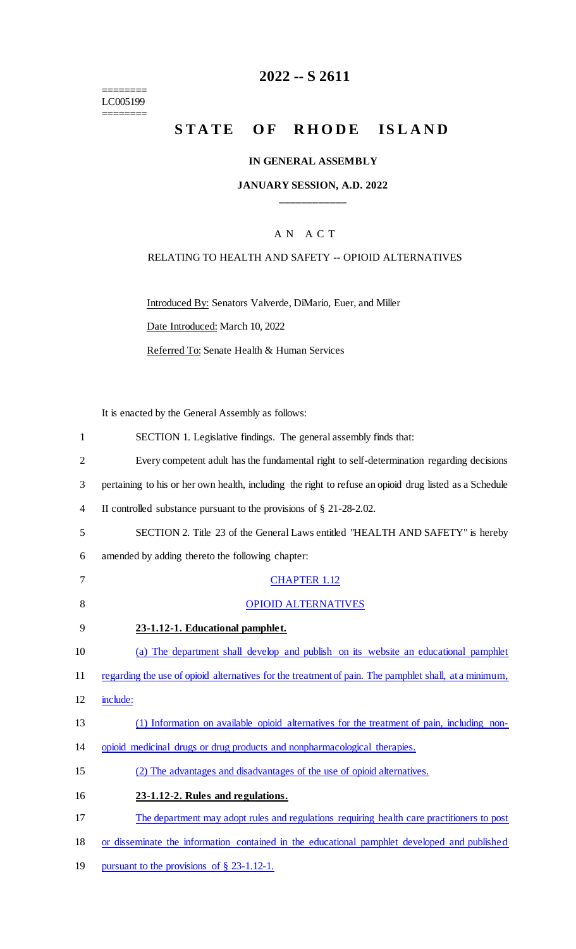======== LC005199  $=$ 

# **2022 -- S 2611**

# STATE OF RHODE ISLAND

## **IN GENERAL ASSEMBLY**

## **JANUARY SESSION, A.D. 2022 \_\_\_\_\_\_\_\_\_\_\_\_**

## A N A C T

### RELATING TO HEALTH AND SAFETY -- OPIOID ALTERNATIVES

Introduced By: Senators Valverde, DiMario, Euer, and Miller

Date Introduced: March 10, 2022

Referred To: Senate Health & Human Services

It is enacted by the General Assembly as follows:

| 1              | SECTION 1. Legislative findings. The general assembly finds that:                                      |
|----------------|--------------------------------------------------------------------------------------------------------|
| $\overline{2}$ | Every competent adult has the fundamental right to self-determination regarding decisions              |
| 3              | pertaining to his or her own health, including the right to refuse an opioid drug listed as a Schedule |
| 4              | II controlled substance pursuant to the provisions of $\S$ 21-28-2.02.                                 |
| 5              | SECTION 2. Title 23 of the General Laws entitled "HEALTH AND SAFETY" is hereby                         |
| 6              | amended by adding thereto the following chapter:                                                       |
| 7              | <b>CHAPTER 1.12</b>                                                                                    |
| 8              | <b>OPIOID ALTERNATIVES</b>                                                                             |
| 9              | 23-1.12-1. Educational pamphlet.                                                                       |
| 10             | (a) The department shall develop and publish on its website an educational pamphlet                    |
| 11             | regarding the use of opioid alternatives for the treatment of pain. The pamphlet shall, at a minimum,  |
| 12             | include:                                                                                               |
| 13             | (1) Information on available opioid alternatives for the treatment of pain, including non-             |
| 14             | opioid medicinal drugs or drug products and nonpharmacological therapies.                              |
| 15             | (2) The advantages and disadvantages of the use of opioid alternatives.                                |
| 16             | 23-1.12-2. Rules and regulations.                                                                      |
| 17             | The department may adopt rules and regulations requiring health care practitioners to post             |
| 18             | or disseminate the information contained in the educational pamphlet developed and published           |
| 19             | pursuant to the provisions of $\S$ 23-1.12-1.                                                          |
|                |                                                                                                        |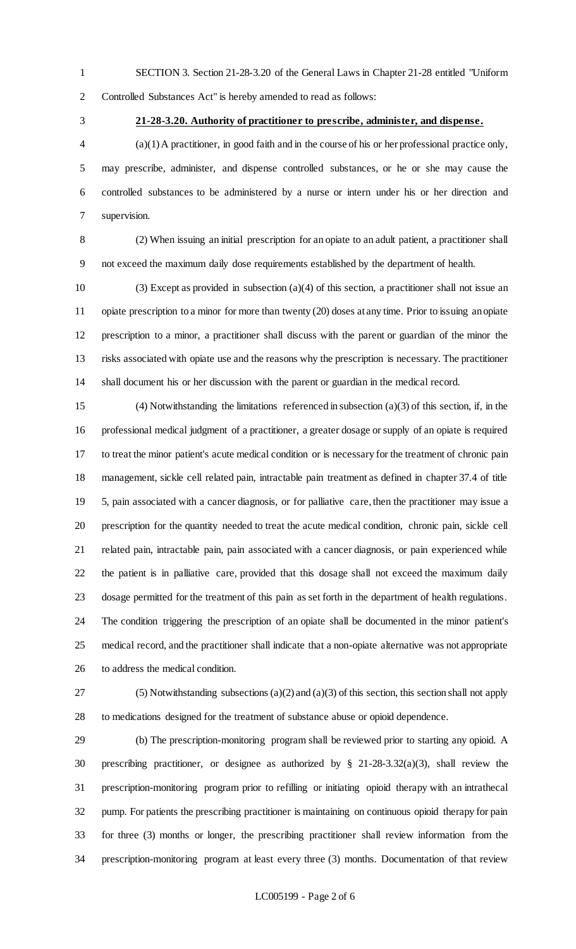- SECTION 3. Section 21-28-3.20 of the General Laws in Chapter 21-28 entitled "Uniform Controlled Substances Act" is hereby amended to read as follows:
- 

#### **21-28-3.20. Authority of practitioner to prescribe, administer, and dispense.**

 (a)(1) A practitioner, in good faith and in the course of his or her professional practice only, may prescribe, administer, and dispense controlled substances, or he or she may cause the controlled substances to be administered by a nurse or intern under his or her direction and supervision.

 (2) When issuing an initial prescription for an opiate to an adult patient, a practitioner shall not exceed the maximum daily dose requirements established by the department of health.

 (3) Except as provided in subsection (a)(4) of this section, a practitioner shall not issue an opiate prescription to a minor for more than twenty (20) doses at any time. Prior to issuing an opiate prescription to a minor, a practitioner shall discuss with the parent or guardian of the minor the risks associated with opiate use and the reasons why the prescription is necessary. The practitioner shall document his or her discussion with the parent or guardian in the medical record.

 (4) Notwithstanding the limitations referenced in subsection (a)(3) of this section, if, in the professional medical judgment of a practitioner, a greater dosage or supply of an opiate is required to treat the minor patient's acute medical condition or is necessary for the treatment of chronic pain management, sickle cell related pain, intractable pain treatment as defined in chapter 37.4 of title 5, pain associated with a cancer diagnosis, or for palliative care, then the practitioner may issue a prescription for the quantity needed to treat the acute medical condition, chronic pain, sickle cell related pain, intractable pain, pain associated with a cancer diagnosis, or pain experienced while the patient is in palliative care, provided that this dosage shall not exceed the maximum daily dosage permitted for the treatment of this pain as set forth in the department of health regulations. The condition triggering the prescription of an opiate shall be documented in the minor patient's medical record, and the practitioner shall indicate that a non-opiate alternative was not appropriate to address the medical condition.

 (5) Notwithstanding subsections (a)(2) and (a)(3) of this section, this section shall not apply to medications designed for the treatment of substance abuse or opioid dependence.

 (b) The prescription-monitoring program shall be reviewed prior to starting any opioid. A prescribing practitioner, or designee as authorized by § 21-28-3.32(a)(3), shall review the prescription-monitoring program prior to refilling or initiating opioid therapy with an intrathecal pump. For patients the prescribing practitioner is maintaining on continuous opioid therapy for pain for three (3) months or longer, the prescribing practitioner shall review information from the prescription-monitoring program at least every three (3) months. Documentation of that review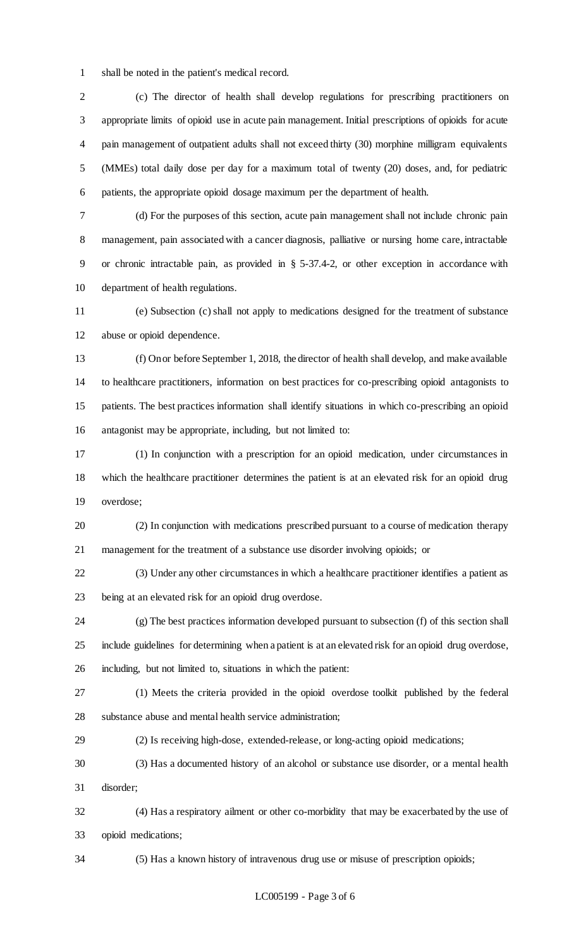shall be noted in the patient's medical record.

 (c) The director of health shall develop regulations for prescribing practitioners on appropriate limits of opioid use in acute pain management. Initial prescriptions of opioids for acute pain management of outpatient adults shall not exceed thirty (30) morphine milligram equivalents (MMEs) total daily dose per day for a maximum total of twenty (20) doses, and, for pediatric patients, the appropriate opioid dosage maximum per the department of health.

 (d) For the purposes of this section, acute pain management shall not include chronic pain 8 management, pain associated with a cancer diagnosis, palliative or nursing home care, intractable or chronic intractable pain, as provided in § 5-37.4-2, or other exception in accordance with department of health regulations.

 (e) Subsection (c) shall not apply to medications designed for the treatment of substance abuse or opioid dependence.

 (f) On or before September 1, 2018, the director of health shall develop, and make available to healthcare practitioners, information on best practices for co-prescribing opioid antagonists to patients. The best practices information shall identify situations in which co-prescribing an opioid antagonist may be appropriate, including, but not limited to:

 (1) In conjunction with a prescription for an opioid medication, under circumstances in which the healthcare practitioner determines the patient is at an elevated risk for an opioid drug overdose;

 (2) In conjunction with medications prescribed pursuant to a course of medication therapy management for the treatment of a substance use disorder involving opioids; or

 (3) Under any other circumstances in which a healthcare practitioner identifies a patient as being at an elevated risk for an opioid drug overdose.

 (g) The best practices information developed pursuant to subsection (f) of this section shall include guidelines for determining when a patient is at an elevated risk for an opioid drug overdose, including, but not limited to, situations in which the patient:

 (1) Meets the criteria provided in the opioid overdose toolkit published by the federal substance abuse and mental health service administration;

(2) Is receiving high-dose, extended-release, or long-acting opioid medications;

 (3) Has a documented history of an alcohol or substance use disorder, or a mental health disorder;

 (4) Has a respiratory ailment or other co-morbidity that may be exacerbated by the use of opioid medications;

(5) Has a known history of intravenous drug use or misuse of prescription opioids;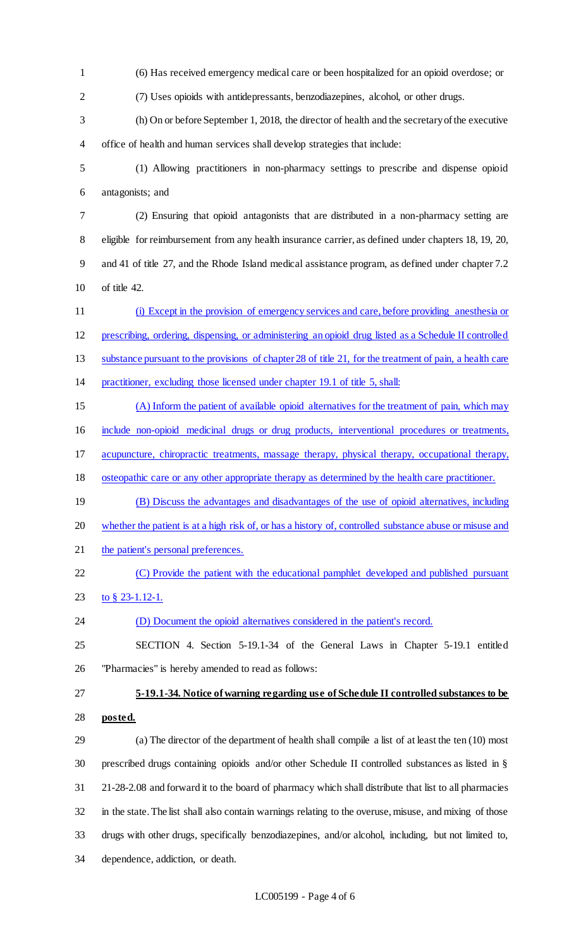(6) Has received emergency medical care or been hospitalized for an opioid overdose; or (7) Uses opioids with antidepressants, benzodiazepines, alcohol, or other drugs. (h) On or before September 1, 2018, the director of health and the secretary of the executive office of health and human services shall develop strategies that include: (1) Allowing practitioners in non-pharmacy settings to prescribe and dispense opioid antagonists; and (2) Ensuring that opioid antagonists that are distributed in a non-pharmacy setting are eligible for reimbursement from any health insurance carrier, as defined under chapters 18, 19, 20, and 41 of title 27, and the Rhode Island medical assistance program, as defined under chapter 7.2 of title 42. (i) Except in the provision of emergency services and care, before providing anesthesia or prescribing, ordering, dispensing, or administering an opioid drug listed as a Schedule II controlled 13 substance pursuant to the provisions of chapter 28 of title 21, for the treatment of pain, a health care practitioner, excluding those licensed under chapter 19.1 of title 5, shall: (A) Inform the patient of available opioid alternatives for the treatment of pain, which may include non-opioid medicinal drugs or drug products, interventional procedures or treatments, acupuncture, chiropractic treatments, massage therapy, physical therapy, occupational therapy, osteopathic care or any other appropriate therapy as determined by the health care practitioner. (B) Discuss the advantages and disadvantages of the use of opioid alternatives, including whether the patient is at a high risk of, or has a history of, controlled substance abuse or misuse and 21 the patient's personal preferences. 22 (C) Provide the patient with the educational pamphlet developed and published pursuant to § 23-1.12-1. 24 (D) Document the opioid alternatives considered in the patient's record. SECTION 4. Section 5-19.1-34 of the General Laws in Chapter 5-19.1 entitled "Pharmacies" is hereby amended to read as follows: **5-19.1-34. Notice of warning regarding use of Schedule II controlled substances to be posted.** (a) The director of the department of health shall compile a list of at least the ten (10) most prescribed drugs containing opioids and/or other Schedule II controlled substances as listed in § 21-28-2.08 and forward it to the board of pharmacy which shall distribute that list to all pharmacies in the state. The list shall also contain warnings relating to the overuse, misuse, and mixing of those drugs with other drugs, specifically benzodiazepines, and/or alcohol, including, but not limited to, dependence, addiction, or death.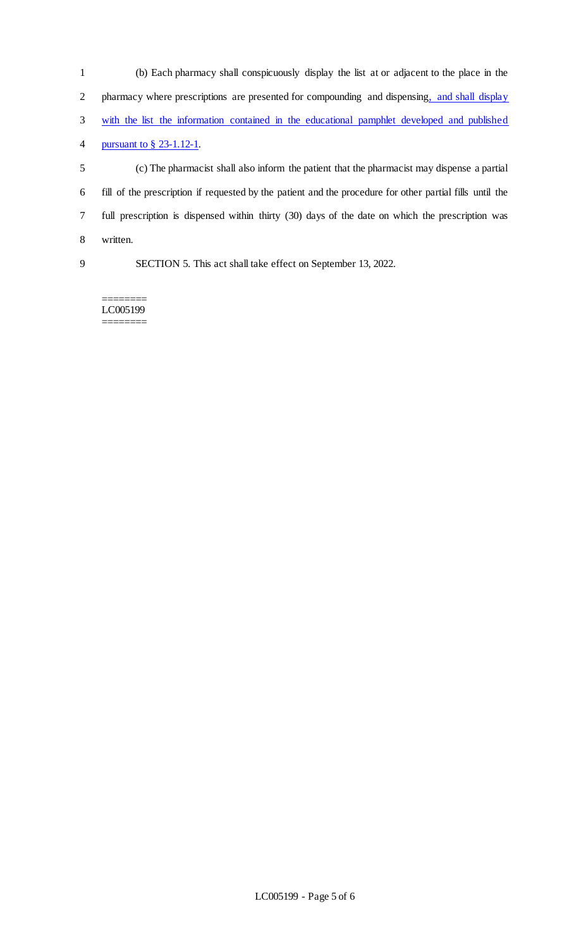| $\mathbf{1}$ | (b) Each pharmacy shall conspicuously display the list at or adjacent to the place in the                |
|--------------|----------------------------------------------------------------------------------------------------------|
| 2            | pharmacy where prescriptions are presented for compounding and dispensing, and shall display             |
| 3            | with the list the information contained in the educational pamphlet developed and published              |
| 4            | pursuant to $\S$ 23-1.12-1.                                                                              |
| 5            | (c) The pharmacist shall also inform the patient that the pharmacist may dispense a partial              |
| 6            | fill of the prescription if requested by the patient and the procedure for other partial fills until the |
| 7            | full prescription is dispensed within thirty (30) days of the date on which the prescription was         |
| 8            | written.                                                                                                 |
| 9            | SECTION 5. This act shall take effect on September 13, 2022.                                             |
|              |                                                                                                          |

======== LC005199 ========